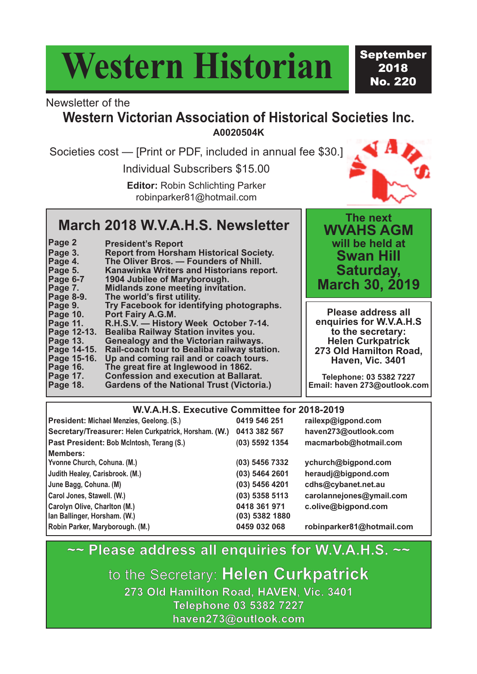# **Western Historian**

September 2018 No. 220

#### Newsletter of the

### **Western Victorian Association of Historical Societies Inc. A0020504K**

Societies cost — [Print or PDF, included in annual fee \$30.]

Individual Subscribers \$15.00

**Editor:** Robin Schlichting Parker robinparker81@hotmail.com



### **March 2018 W.V.A.H.S. Newsletter**

| Page 2      | <b>President's Report</b>                        |
|-------------|--------------------------------------------------|
| Page 3.     | <b>Report from Horsham Historical Society.</b>   |
| Page 4.     | The Oliver Bros. - Founders of Nhill.            |
| Page 5.     | Kanawinka Writers and Historians report.         |
| Page 6-7    | 1904 Jubilee of Maryborough.                     |
| Page 7.     | <b>Midlands zone meeting invitation.</b>         |
| Page 8-9.   | The world's first utility.                       |
| Page 9.     | Try Facebook for identifying photographs.        |
| Page 10.    | Port Fairy A.G.M.                                |
| Page 11.    | R.H.S.V. - History Week October 7-14.            |
| Page 12-13. | <b>Bealiba Railway Station invites you.</b>      |
| Page 13.    | <b>Genealogy and the Victorian railways.</b>     |
| Page 14-15. | Rail-coach tour to Bealiba railway station.      |
| Page 15-16. | Up and coming rail and or coach tours.           |
| Page 16.    | The great fire at Inglewood in 1862.             |
| Page 17.    | <b>Confession and execution at Ballarat.</b>     |
| Page 18.    | <b>Gardens of the National Trust (Victoria.)</b> |

**The next WVAHS AGM will be held at Swan Hill Saturday, March 30, 2019**

**Please address all enquiries for W.V.A.H.S to the secretary: Helen Curkpatrick 273 Old Hamilton Road, Haven, Vic. 3401**

**Telephone: 03 5382 7227 Email: haven 273@outlook.com**

#### **W.V.A.H.S. Executive Committee for 2018-2019**

| President: Michael Menzies, Geelong. (S.)             | 0419 546 251     | railexp@igpond.com        |
|-------------------------------------------------------|------------------|---------------------------|
| Secretary/Treasurer: Helen Curkpatrick, Horsham. (W.) | 0413 382 567     | haven273@outlook.com      |
| Past President: Bob McIntosh, Terang (S.)             | (03) 5592 1354   | macmarbob@hotmail.com     |
| Members:                                              |                  |                           |
| Yvonne Church, Cohuna. (M.)                           | (03) 5456 7332   | ychurch@bigpond.com       |
| Judith Healey, Carisbrook. (M.)                       | (03) 5464 2601   | heraudj@bigpond.com       |
| June Bagg, Cohuna. (M)                                | (03) 5456 4201   | cdhs@cybanet.net.au       |
| Carol Jones, Stawell. (W.)                            | $(03)$ 5358 5113 | carolannejones@ymail.com  |
| Carolyn Olive, Charlton (M.)                          | 0418 361 971     | c.olive@bigpond.com       |
| Ian Ballinger, Horsham. (W.)                          | (03) 5382 1880   |                           |
| Robin Parker, Maryborough. (M.)                       | 0459 032 068     | robinparker81@hotmail.com |

### **~~ Please address all enquiries for W.V.A.H.S. ~~**

to the Secretary: **Helen Curkpatrick 273 Old Hamilton Road, HAVEN, Vic. 3401 Telephone 03 5382 7227 haven273@outlook.com**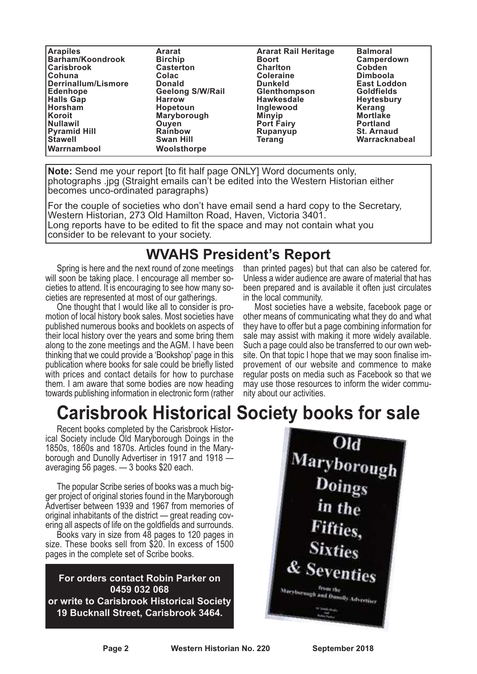| <b>Arapiles</b>         | <b>Ararat</b>           | <b>Ararat Rail Heritage</b> | <b>Balmoral</b>    |
|-------------------------|-------------------------|-----------------------------|--------------------|
| <b>Barham/Koondrook</b> | <b>Birchip</b>          | <b>Boort</b>                | Camperdown         |
| <b>Carisbrook</b>       | <b>Casterton</b>        | <b>Charlton</b>             | <b>Cobden</b>      |
| <b>ICohuna</b>          | Colac                   | <b>Coleraine</b>            | <b>Dimboola</b>    |
| Derrinallum/Lismore     | <b>Donald</b>           | <b>Dunkeld</b>              | <b>East Loddon</b> |
| Edenhope                | <b>Geelong S/W/Rail</b> | <b>Glenthompson</b>         | <b>Goldfields</b>  |
| <b>Halls Gap</b>        | <b>Harrow</b>           | <b>Hawkesdale</b>           | <b>Heytesbury</b>  |
| Horsham                 | Hopetoun                | Inglewood                   | Kerang             |
| Koroit                  | Maryborough             | <b>Minyip</b>               | <b>Mortlake</b>    |
| Nullawil                | Ouyen                   | <b>Port Fairy</b>           | <b>Portland</b>    |
| <b>Pyramid Hill</b>     | <b>Rainbow</b>          | Rupanyup                    | <b>St. Arnaud</b>  |
| Stawell                 | <b>Swan Hill</b>        | Teranq                      | Warracknabeal      |
| Warrnambool             | Woolsthorpe             |                             |                    |

**Note:** Send me your report [to fit half page ONLY] Word documents only, photographs .jpg (Straight emails can't be edited into the Western Historian either becomes unco-ordinated paragraphs)

For the couple of societies who don't have email send a hard copy to the Secretary, Western Historian, 273 Old Hamilton Road, Haven, Victoria 3401. Long reports have to be edited to fit the space and may not contain what you consider to be relevant to your society.

### **WVAHS President's Report**

Spring is here and the next round of zone meetings will soon be taking place. I encourage all member societies to attend. It is encouraging to see how many societies are represented at most of our gatherings.

One thought that I would like all to consider is promotion of local history book sales. Most societies have published numerous books and booklets on aspects of their local history over the years and some bring them along to the zone meetings and the AGM. I have been thinking that we could provide a 'Bookshop' page in this publication where books for sale could be briefly listed with prices and contact details for how to purchase them. I am aware that some bodies are now heading towards publishing information in electronic form (rather

than printed pages) but that can also be catered for. Unless a wider audience are aware of material that has been prepared and is available it often just circulates in the local community.

Most societies have a website, facebook page or other means of communicating what they do and what they have to offer but a page combining information for sale may assist with making it more widely available. Such a page could also be transferred to our own website. On that topic I hope that we may soon finalise improvement of our website and commence to make regular posts on media such as Facebook so that we may use those resources to inform the wider community about our activities.

### **Carisbrook Historical Society books for sale**

Recent books completed by the Carisbrook Historical Society include Old Maryborough Doings in the 1850s, 1860s and 1870s. Articles found in the Maryborough and Dunolly Advertiser in 1917 and 1918 averaging 56 pages. — 3 books \$20 each.

The popular Scribe series of books was a much bigger project of original stories found in the Maryborough Advertiser between 1939 and 1967 from memories of original inhabitants of the district — great reading covering all aspects of life on the goldfields and surrounds.

Books vary in size from 48 pages to 120 pages in size. These books sell from \$20. In excess of 1500 pages in the complete set of Scribe books.

**For orders contact Robin Parker on 0459 032 068 or write to Carisbrook Historical Society 19 Bucknall Street, Carisbrook 3464.**

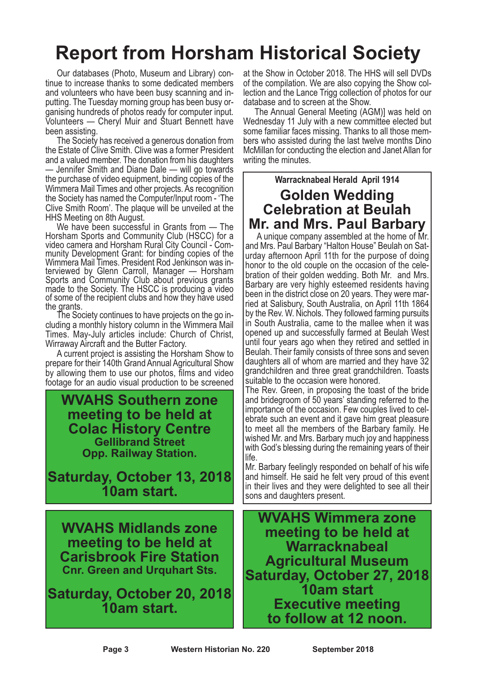# **Report from Horsham Historical Society**

Our databases (Photo, Museum and Library) continue to increase thanks to some dedicated members and volunteers who have been busy scanning and inputting. The Tuesday morning group has been busy organising hundreds of photos ready for computer input. Volunteers — Cheryl Muir and Stuart Bennett have been assisting.

The Society has received a generous donation from the Estate of Clive Smith. Clive was a former President and a valued member. The donation from his daughters — Jennifer Smith and Diane Dale — will go towards the purchase of video equipment, binding copies of the Wimmera Mail Times and other projects. As recognition the Society has named the Computer/Input room - 'The Clive Smith Room'. The plaque will be unveiled at the HHS Meeting on 8th August.

We have been successful in Grants from — The Horsham Sports and Community Club (HSCC) for a video camera and Horsham Rural City Council - Com- munity Development Grant: for binding copies of the munity Development Grant: for binding copies of the<br>Wimmera Mail Times. President Rod Jenkinson was in-<br>terviewed by Glenn Carroll, Manager — Horsham Sports and Community Club about previous grants made to the Society. The HSCC is producing a video of some of the recipient clubs and how they have used

the grants. The Society continues to have projects on the go including a monthly history column in the Wimmera Mail Times. May-July articles include: Church of Christ, Wirraway Aircraft and the Butter Factory.

A current project is assisting the Horsham Show to prepare for their 140th Grand Annual Agricultural Show by allowing them to use our photos, films and video footage for an audio visual production to be screened

**WVAHS Southern zone meeting to be held at Colac History Centre Gellibrand Street Opp. Railway Station.**

**Saturday, October 13, 2018 10am start.**

**WVAHS Midlands zone meeting to be held at Carisbrook Fire Station Cnr. Green and Urquhart Sts.**

**Saturday, October 20, 2018 10am start.**

at the Show in October 2018. The HHS will sell DVDs of the compilation. We are also copying the Show collection and the Lance Trigg collection of photos for our

database and to screen at the Show. The Annual General Meeting (AGM)] was held on Wednesday 11 July with a new committee elected but some familiar faces missing. Thanks to all those mem- bers who assisted during the last twelve months Dino McMillan for conducting the election and Janet Allan for writing the minutes.

### **Warracknabeal Herald April 1914 Golden Wedding Celebration at Beulah Mr. and Mrs. Paul Barbary**

A unique company assembled at the home of Mr. and Mrs. Paul Barbary "Halton House" Beulah on Saturday afternoon April 11th for the purpose of doing honor to the old couple on the occasion of the celebration of their golden wedding. Both Mr. and Mrs. Barbary are very highly esteemed residents having been in the district close on 20 years. They were married at Salisbury, South Australia, on April 11th 1864 by the Rev. W. Nichols. They followed farming pursuits in South Australia, came to the mallee when it was opened up and successfully farmed at Beulah West until four years ago when they retired and settled in Beulah. Their family consists of three sons and seven daughters all of whom are married and they have 32 grandchildren and three great grandchildren. Toasts

suitable to the occasion were honored. The Rev. Green, in proposing the toast of the bride and bridegroom of 50 years' standing referred to the importance of the occasion. Few couples lived to celebrate such an event and it gave him great pleasure to meet all the members of the Barbary family. He wished Mr. and Mrs. Barbary much joy and happiness with God's blessing during the remaining years of their life.

Mr. Barbary feelingly responded on behalf of his wife and himself. He said he felt very proud of this event in their lives and they were delighted to see all their sons and daughters present.

**WVAHS Wimmera zone meeting to be held at Warracknabeal Agricultural Museum Saturday, October 27, 2018 10am start Executive meeting to follow at 12 noon.**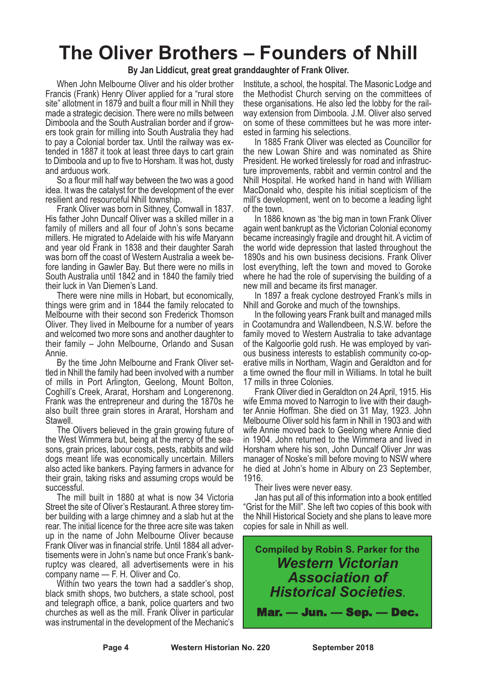### **The Oliver Brothers – Founders of Nhill**

#### **By Jan Liddicut, great great granddaughter of Frank Oliver.**

When John Melbourne Oliver and his older brother Francis (Frank) Henry Oliver applied for a "rural store site" allotment in 1879 and built a flour mill in Nhill they made a strategic decision. There were no mills between Dimboola and the South Australian border and if growers took grain for milling into South Australia they had to pay a Colonial border tax. Until the railway was extended in 1887 it took at least three days to cart grain to Dimboola and up to five to Horsham. It was hot, dusty and arduous work.

So a flour mill half way between the two was a good idea. It was the catalyst for the development of the ever resilient and resourceful Nhill township.

Frank Oliver was born in Sithney, Cornwall in 1837. His father John Duncalf Oliver was a skilled miller in a family of millers and all four of John's sons became millers. He migrated to Adelaide with his wife Maryann and year old Frank in 1838 and their daughter Sarah was born off the coast of Western Australia a week before landing in Gawler Bay. But there were no mills in South Australia until 1842 and in 1840 the family tried their luck in Van Diemen's Land.

There were nine mills in Hobart, but economically, things were grim and in 1844 the family relocated to Melbourne with their second son Frederick Thomson Oliver. They lived in Melbourne for a number of years and welcomed two more sons and another daughter to their family – John Melbourne, Orlando and Susan Annie.

By the time John Melbourne and Frank Oliver settled in Nhill the family had been involved with a number of mills in Port Arlington, Geelong, Mount Bolton, Coghill's Creek, Ararat, Horsham and Longerenong. Frank was the entrepreneur and during the 1870s he also built three grain stores in Ararat, Horsham and

The Olivers believed in the grain growing future of the West Wimmera but, being at the mercy of the sea- sons, grain prices, labour costs, pests, rabbits and wild dogs meant life was economically uncertain. Millers also acted like bankers. Paying farmers in advance for their grain, taking risks and assuming crops would be successful.

The mill built in 1880 at what is now 34 Victoria Street the site of Oliver's Restaurant. <sup>A</sup> three storey tim- ber building with <sup>a</sup> large chimney and <sup>a</sup> slab hut at the rear. The initial licence for the three acre site was taken up in the name of John Melbourne Oliver because Frank Oliver was in financial strife. Until 1884 all advertisements were in John's name but once Frank's bankruptcy was cleared, all advertisements were in his company name — F. H. Oliver and Co.

Within two years the town had a saddler's shop, black smith shops, two butchers, a state school, post and telegraph office, a bank, police quarters and two churches as well as the mill. Frank Oliver in particular was instrumental in the development of the Mechanic's

Institute, a school, the hospital. The Masonic Lodge and the Methodist Church serving on the committees of these organisations. He also led the lobby for the rail- way extension from Dimboola. J.M. Oliver also served on some of these committees but he was more inter- ested in farming his selections.

In 1885 Frank Oliver was elected as Councillor for the new Lowan Shire and was nominated as Shire President. He worked tirelessly for road and infrastructure improvements, rabbit and vermin control and the Nhill Hospital. He worked hand in hand with William MacDonald who, despite his initial scepticism of the mill's development, went on to become a leading light of the town.

In 1886 known as 'the big man in town Frank Oliver again went bankrupt as the Victorian Colonial economy became increasingly fragile and drought hit. A victim of the world wide depression that lasted throughout the 1890s and his own business decisions. Frank Oliver lost everything, left the town and moved to Goroke where he had the role of supervising the building of a new mill and became its first manager.

In 1897 a freak cyclone destroyed Frank's mills in Nhill and Goroke and much of the townships.

In the following years Frank built and managed mills in Cootamundra and Wallendbeen, N.S.W. before the family moved to Western Australia to take advantage of the Kalgoorlie gold rush. He was employed by various business interests to establish community co-operative mills in Northam, Wagin and Geraldton and for a time owned the flour mill in Williams. In total he built 17 mills in three Colonies.

Frank Oliver died in Geraldton on 24 April, 1915. His wife Emma moved to Narrogin to live with their daughter Annie Hoffman. She died on 31 May, 1923. John Melbourne Oliver sold his farm in Nhill in 1903 and with wife Annie moved back to Geelong where Annie died in 1904. John returned to the Wimmera and lived in Horsham where his son, John Duncalf Oliver Jnr was manager of Noske's mill before moving to NSW where he died at John's home in Albury on 23 September, 1916.

Their lives were never easy. Jan has put all of this information into <sup>a</sup> book entitled "Grist for the Mill". She left two copies of this book with the Nhill Historical Society and she plans to leave more copies for sale in Nhill as well.

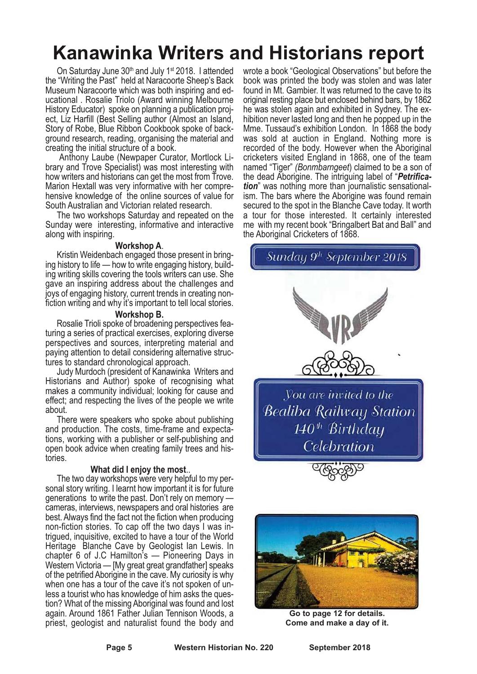# **Kanawinka Writers and Historians report**

On Saturday June 30<sup>th</sup> and July 1<sup>st</sup> 2018. I attended the "Writing the Past" held at Naracoorte Sheep's Back Museum Naracoorte which was both inspiring and educational . Rosalie Triolo (Award winning Melbourne History Educator) spoke on planning a publication project, Liz Harfill (Best Selling author (Almost an Island, Story of Robe, Blue Ribbon Cookbook spoke of background research, reading, organising the material and creating the initial structure of a book.

Anthony Laube (Newpaper Curator, Mortlock Library and Trove Specialist) was most interesting with how writers and historians can get the most from Trove. Marion Hextall was very informative with her comprehensive knowledge of the online sources of value for South Australian and Victorian related research.

The two workshops Saturday and repeated on the Sunday were interesting, informative and interactive along with inspiring.

**Workshop A**.<br>Kristin Weidenbach engaged those present in bring-<br>ing history to life — how to write engaging history, build-<br>ing writing skills covering the tools writers can use. She gave an inspiring address about the challenges and joys of engaging history, current trends in creating non- fiction writing and why it's important to tell local stories.

**Workshop B.** Rosalie Trioli spoke of broadening perspectives featuring a series of practical exercises, exploring diverse perspectives and sources, interpreting material and paying attention to detail considering alternative structures to standard chronological approach.

Judy Murdoch (president of Kanawinka Writers and Historians and Author) spoke of recognising what makes a community individual; looking for cause and effect; and respecting the lives of the people we write about.

There were speakers who spoke about publishing and production. The costs, time-frame and expectations, working with a publisher or self-publishing and open book advice when creating family trees and his- tories.

**What did <sup>I</sup> enjoy the most**.. The two day workshops were very helpful to my personal story writing. I learnt how important it is for future generations to write the past. Don't rely on memory cameras, interviews, newspapers and oral histories are best. Always find the fact not the fiction when producing non-fiction stories. To cap off the two days <sup>I</sup> was in- trigued, inquisitive, excited to have <sup>a</sup> tour of the World Heritage Blanche Cave by Geologist Ian Lewis. In chapter 6 of J.C Hamilton's — Pioneering Days in Western Victoria — [My great great grandfather] speaks of the petrified Aborigine in the cave. My curiosity is why when one has a tour of the cave it's not spoken of un-<br>less a tourist who has knowledge of him asks the question? What of the missing Aboriginal was found and lost again. Around 1861 Father Julian Tennison Woods, a priest, geologist and naturalist found the body and

wrote a book "Geological Observations" but before the book was printed the body was stolen and was later found in Mt. Gambier. It was returned to the cave to its original resting place but enclosed behind bars, by 1862 he was stolen again and exhibited in Sydney. The ex- hibition never lasted long and then he popped up in the Mme. Tussaud's exhibition London. In 1868 the body was sold at auction in England. Nothing more is recorded of the body. However when the Aboriginal cricketers visited England in 1868, one of the team named "Tiger" *(Bonmbarngeet*) claimed to be a son of the dead Aborigine. The intriguing label of "*Petrifica- tion*" was nothing more than journalistic sensational- ism. The bars where the Aborigine was found remain secured to the spot in the Blanche Cave today. It worth a tour for those interested. It certainly interested me with my recent book "Bringalbert Bat and Ball" and the Aboriginal Cricketers of 1868.





**Go to page 12 for details. Come and make a day of it.**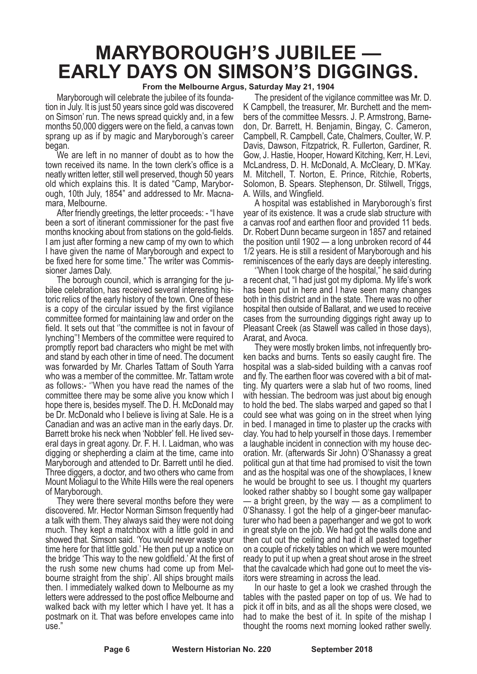# **MARYBOROUGH'S JUBILEE — EARLY DAYS ON SIMSON'S DIGGINGS.**

#### **From the Melbourne Argus, Saturday May 21, 1904**

Maryborough will celebrate the jubilee of its foundation in July. It is just 50 years since gold was discovered on Simson' run. The news spread quickly and, in a few months 50,000 diggers were on the field, a canvas town sprang up as if by magic and Maryborough's career began.

We are left in no manner of doubt as to how the town received its name. In the town clerk's office is a neatly written letter, still well preserved, though 50 years old which explains this. It is dated "Camp, Marybor-<br>ough, 10th July, 1854" and addressed to Mr. Macna-<br>mara, Melbourne.<br>After friendly greetings, the letter proceeds: - "I have

been a sort of itinerant commissioner for the past five months knocking about from stations on the gold-fields. <sup>I</sup> am just after forming <sup>a</sup> new camp of my own to which I have given the name of Maryborough and expect to

be fixed here for some time." The writer was Commis-<br>sioner James Daly.<br>The borough council, which is arranging for the ju-<br>bilee celebration, has received several interesting his-<br>toric relics of the early history of the is a copy of the circular issued by the first vigilance committee formed for maintaining law and order on the field. It sets out that ''the committee is not in favour of lynching''! Members of the committee were required to promptly report bad characters who might be met with and stand by each other in time of need. The document was forwarded by Mr. Charles Tattam of South Yarra who was a member of the committee. Mr. Tattam wrote as follows:- ''When you have read the names of the committee there may be some alive you know which I hope there is, besides myself. The D. H. McDonald may be Dr. McDonald who I believe is living at Sale. He is a Canadian and was an active man in the early days. Dr. Barrett broke his neck when 'Nobbler' fell. He lived several days in great agony. Dr. F. H. I. Laidman, who was digging or shepherding a claim at the time, came into Maryborough and attended to Dr. Barrett until he died. Three diggers, a doctor, and two others who came from Mount Moliagul to the White Hills were the real openers of Maryborough.

They were there several months before they were discovered. Mr. Hector Norman Simson frequently had a talk with them. They always said they were not doing much. They kept a matchbox with a little gold in and showed that. Simson said. 'You would never waste your time here for that little gold.' He then put up a notice on the bridge 'This way to the new goldfield.' At the first of the rush some new chums had come up from Mel- bourne straight from the ship'. All ships brought mails then. I immediately walked down to Melbourne as my letters were addressed to the post office Melbourne and walked back with my letter which I have yet. It has a postmark on it. That was before envelopes came into use."

The president of the vigilance committee was Mr. D.<br>K Campbell, the treasurer, Mr. Burchett and the mem-<br>bers of the committee Messrs. J. P. Armstrong, Barne-<br>don, Dr. Barrett, H. Benjamin, Bingay, C. Cameron,<br>Campbell, R. M. Mitchell, T. Norton, E. Prince, Ritchie, Roberts, Solomon, B. Spears. Stephenson, Dr. Stilwell, Triggs, A. Wills, and Wingfield.

A hospital was established in Maryborough's first year of its existence. It was a crude slab structure with a canvas roof and earthen floor and provided 11 beds. Dr. Robert Dunn became surgeon in 1857 and retained the position until 1902 — a long unbroken record of 44 1/2 years. He is still a resident of Maryborough and his reminiscences of the early days are deeply interesting.

''When I took charge of the hospital," he said during a recent chat, "I had just got my diploma. My life's work has been put in here and I have seen many changes both in this district and in the state. There was no other hospital then outside of Ballarat, and we used to receive cases from the surrounding diggings right away up to Pleasant Creek (as Stawell was called in those days), Ararat, and Avoca.

They were mostly broken limbs, not infrequently broken backs and burns. Tents so easily caught fire. The hospital was a slab-sided building with a canvas roof and fly. The earthen floor was covered with a bit of matting. My quarters were a slab hut of two rooms, lined with hessian. The bedroom was just about big enough to hold the bed. The slabs warped and gaped so that I could see what was going on in the street when lying in bed. I managed in time to plaster up the cracks with clay. You had to help yourself in those days. I remember a laughable incident in connection with my house decoration. Mr. (afterwards Sir John) O'Shanassy a great political gun at that time had promised to visit the town and as the hospital was one of the showplaces, I knew he would be brought to see us. I thought my quarters looked rather shabby so I bought some gay wallpaper — a bright green, by the way — as a compliment to 0'Shanassy. I got the help of a ginger-beer manufacturer who had been a paperhanger and we got to work in great style on the job. We had got the walls done and then cut out the ceiling and had it all pasted together on a couple of rickety tables on which we were mounted ready to put it up when a great shout arose in the street that the cavalcade which had gone out to meet the visitors were streaming in across the lead.

In our haste to get a look we crashed through the tables with the pasted paper on top of us. We had to pick it off in bits, and as all the shops were closed, we had to make the best of it. In spite of the mishap I thought the rooms next morning looked rather swelly.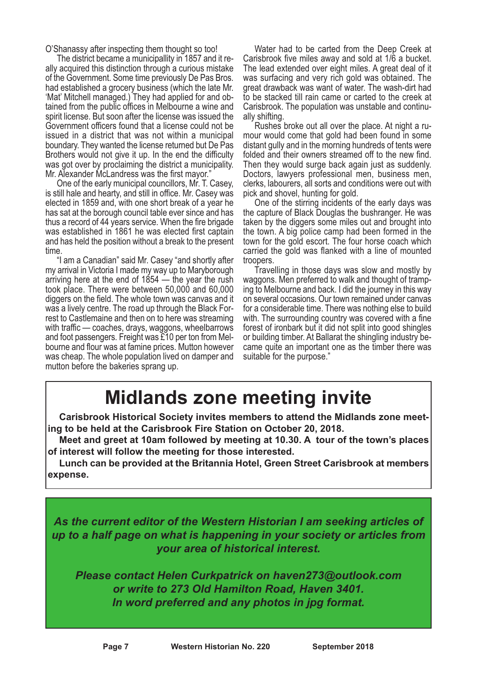O'Shanassy after inspecting them thought so too!<br>The district became a municipallity in 1857 and it re-

ally acquired this distinction through a curious mistake of the Government. Some time previously De Pas Bros. had established a grocery business (which the late Mr. 'Mat' Mitchell managed.) They had applied for and obtained from the public offices in Melbourne a wine and spirit license. But soon after the license was issued the Government officers found that a license could not be issued in a district that was not within a municipal boundary. They wanted the license returned but De Pas Brothers would not give it up. In the end the difficulty was got over by proclaiming the district a municipality. Mr. Alexander McLandress was the first mayor."

One of the early municipal councillors, Mr. T. Casey, is still hale and hearty, and still in office. Mr. Casey was elected in 1859 and, with one short break of a year he has sat at the borough council table ever since and has thus a record of 44 years service. When the fire brigade was established in 1861 he was elected first captain and has held the position without a break to the present time.

"I am a Canadian" said Mr. Casey "and shortly after my arrival in Victoria I made my way up to Maryborough arriving here at the end of  $1854 -$  the year the rush took place. There were between 50,000 and 60,000 diggers on the field. The whole town was canvas and it was a lively centre. The road up through the Black Forrest to Castlemaine and then on to here was streaming with traffic — coaches, drays, waggons, wheelbarrows and foot passengers. Freight was £10 per ton from Melbourne and flour was at famine prices. Mutton however was cheap. The whole population lived on damper and mutton before the bakeries sprang up.

Water had to be carted from the Deep Creek at Carisbrook five miles away and sold at 1/6 a bucket. The lead extended over eight miles. A great deal of it was surfacing and very rich gold was obtained. The great drawback was want of water. The wash-dirt had to be stacked till rain came or carted to the creek at Carisbrook. The population was unstable and continually shifting.

Rushes broke out all over the place. At night a rumour would come that gold had been found in some distant gully and in the morning hundreds of tents were folded and their owners streamed off to the new find. Then they would surge back again just as suddenly. Doctors, lawyers professional men, business men, clerks, labourers, all sorts and conditions were out with pick and shovel, hunting for gold.

One of the stirring incidents of the early days was the capture of Black Douglas the bushranger. He was taken by the diggers some miles out and brought into the town. A big police camp had been formed in the town for the gold escort. The four horse coach which carried the gold was flanked with a line of mounted

Travelling in those days was slow and mostly by waggons. Men preferred to walk and thought of tramping to Melbourne and back. I did the journey in this way on several occasions. Our town remained under canvas for a considerable time. There was nothing else to build with. The surrounding country was covered with a fine forest of ironbark but it did not split into good shingles or building timber. At Ballarat the shingling industry became quite an important one as the timber there was suitable for the purpose."

### **Midlands zone meeting invite**

**Carisbrook Historical Society invites members to attend the Midlands zone meeting to be held at the Carisbrook Fire Station on October 20, 2018.**

**Meet and greet at 10am followed by meeting at 10.30. A tour of the town's places of interest will follow the meeting for those interested.**

**Lunch can be provided at the Britannia Hotel, Green Street Carisbrook at members expense.**

*As the current editor of the Western Historian I am seeking articles of up to a half page on what is happening in your society or articles from your area of historical interest.*

*Please contact Helen Curkpatrick on haven273@outlook.com or write to 273 Old Hamilton Road, Haven 3401. In word preferred and any photos in jpg format.*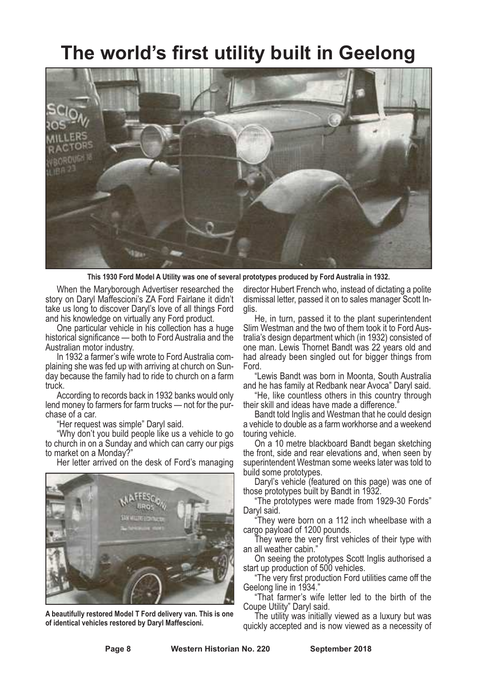### **The world's first utility built in Geelong**



**This 1930 Ford Model A Utility was one of several prototypes produced by Ford Australia in 1932.**

When the Maryborough Advertiser researched the story on Daryl Maffescioni's ZA Ford Fairlane it didn't take us long to discover Daryl's love of all things Ford

and his knowledge on virtually any Ford product. One particular vehicle in his collection has <sup>a</sup> huge historical significance — both to Ford Australia and the

In 1932 a farmer's wife wrote to Ford Australia com-<br>plaining she was fed up with arriving at church on Sun-<br>day because the family had to ride to church on a farm truck.

According to records back in 1932 banks would only lend money to farmers for farm trucks — not for the pur- chase of <sup>a</sup> car. "Her request was simple" Daryl said. "Why don't you build people like us <sup>a</sup> vehicle to go

to church in on a Sunday and which can carry our pigs<br>to market on a Monday?"

Her letter arrived on the desk of Ford's managing



**A beautifully restored Model T Ford delivery van. This is one of identical vehicles restored by Daryl Maffescioni.**

director Hubert French who, instead of dictating a polite dismissal letter, passed it on to sales manager Scott In- glis.

He, in turn, passed it to the plant superintendent Slim Westman and the two of them took it to Ford Australia's design department which (in 1932) consisted of one man. Lewis Thornet Bandt was 22 years old and had already been singled out for bigger things from Ford.

"Lewis Bandt was born in Moonta, South Australia

and he has family at Redbank near Avoca" Daryl said. "He, like countless others in this country through

their skill and ideas have made <sup>a</sup> difference." Bandt told Inglis and Westman that he could design a vehicle to double as a farm workhorse and a weekend touring vehicle. On <sup>a</sup> <sup>10</sup> metre blackboard Bandt began sketching

the front, side and rear elevations and, when seen by superintendent Westman some weeks later was told to

Daryl's vehicle (featured on this page) was one of

those prototypes built by Bandt in 1932. "The prototypes were made from 1929-30 Fords" Daryl said. "They were born on <sup>a</sup> <sup>112</sup> inch wheelbase with <sup>a</sup>

cargo payload of <sup>1200</sup> pounds. They were the very first vehicles of their type with an all weather cabin."

On seeing the prototypes Scott Inglis authorised a start up production of 500 vehicles.

"The very first production Ford utilities came off the Geelong line in 1934."

"That farmer's wife letter led to the birth of the

The utility was initially viewed as a luxury but was quickly accepted and is now viewed as a necessity of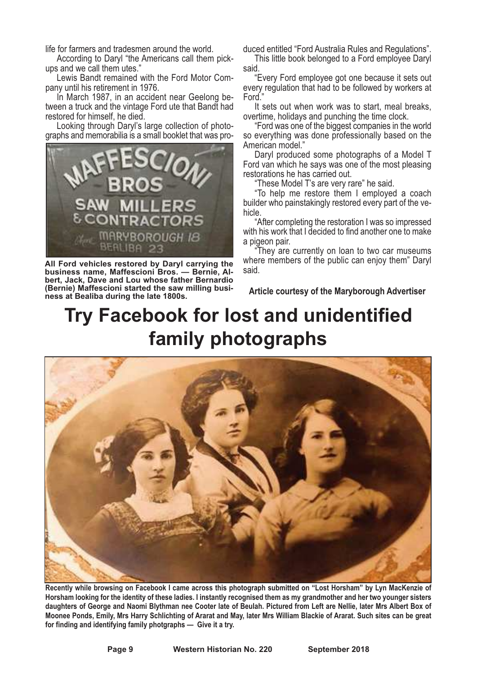life for farmers and tradesmen around the world.<br>
According to Daryl "the Americans call them pick-<br>
ups and we call them utes."<br>
Lewis Bandt remained with the Ford Motor Com-<br>
pany until his retirement in 1976.<br>
In March

Looking through Daryl's large collection of photo-<br>graphs and memorabilia is a small booklet that was pro-



**All Ford vehicles restored by Daryl carrying the business name, Maffescioni Bros. — Bernie, Albert, Jack, Dave and Lou whose father Bernardio (Bernie) Maffescioni started the saw milling business at Bealiba during the late 1800s.**

duced entitled "Ford Australia Rules and Regulations". This little book belonged to <sup>a</sup> Ford employee Daryl

said. "Every Ford employee got one because it sets out

every regulation that had to be followed by workers at Ford<sup>"</sup>

It sets out when work was to start, meal breaks, overtime, holidays and punching the time clock. "Ford was one of the biggest companies in the world

so everything was done professionally based on the American model."

Daryl produced some photographs of a Model T Ford van which he says was one of the most pleasing restorations he has carried out.

"These Model T's are very rare" he said.

"To help me restore them I employed a coach builder who painstakingly restored every part of the vehicle.

"After completing the restoration I was so impressed with his work that I decided to find another one to make a pigeon pair.

"They are currently on loan to two car museums where members of the public can enjoy them" Daryl said.

**Article courtesy of the Maryborough Advertiser**

# **Try Facebook for lost and unidentified family photographs**



Recently while browsing on Facebook I came across this photograph submitted on "Lost Horsham" by Lyn MacKenzie of Horsham looking for the identity of these ladies. I instantly recognised them as my grandmother and her two younger sisters daughters of George and Naomi Blythman nee Cooter late of Beulah. Pictured from Left are Nellie, later Mrs Albert Box of Moonee Ponds, Emily, Mrs Harry Schlichting of Ararat and May, later Mrs William Blackie of Ararat. Such sites can be great **for finding and identifying family photgraphs — Give it a try.**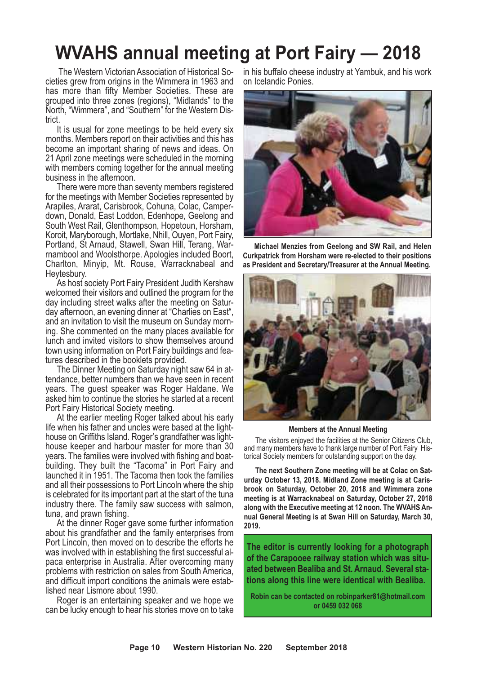### **WVAHS annual meeting at Port Fairy — 2018**

The Western Victorian Association of Historical So- cieties grew from origins in the Wimmera in <sup>1963</sup> and has more than fifty Member Societies. These are grouped into three zones (regions), "Midlands" to the North, "Wimmera", and "Southern" for the Western Dis- trict.

It is usual for zone meetings to be held every six months. Members report on their activities and this has become an important sharing of news and ideas. On 21 April zone meetings were scheduled in the morning with members coming together for the annual meeting business in the afternoon. There were more than seventy members registered

for the meetings with Member Societies represented by Arapiles, Ararat, Carisbrook, Cohuna, Colac, Camperdown, Donald, East Loddon, Edenhope, Geelong and<br>South West Rail, Glenthompson, Hopetoun, Horsham, Koroit, Maryborough, Mortlake, Nhill, Ouyen, Port Fairy, Portland, St Arnaud, Stawell, Swan Hill, Terang, Warrambool and Woolsthorpe. Apologies included Boort, Charlton, Minyip, Mt. Rouse, Warracknabeal and

Heytesbury. As host society Port Fairy President Judith Kershaw welcomed their visitors and outlined the program for the day including street walks after the meeting on Saturday afternoon, an evening dinner at "Charlies on East", and an invitation to visit the museum on Sunday morning. She commented on the many places available for lunch and invited visitors to show themselves around

town using information on Port Fairy buildings and fea-<br>tures described in the booklets provided.<br>The Dinner Meeting on Saturday night saw 64 in at-<br>tendance, better numbers than we have seen in recent years. The guest speaker was Roger Haldane. We asked him to continue the stories he started at a recent Port Fairy Historical Society meeting.

At the earlier meeting Roger talked about his early life when his father and uncles were based at the lighthouse on Griffiths Island. Roger's grandfather was lighthouse keeper and harbour master for more than 30 years. The families were involved with fishing and boatbuilding. They built the "Tacoma" in Port Fairy and launched it in 1951. The Tacoma then took the families and all their possessions to Port Lincoln where the ship is celebrated for its important part at the start of the tuna industry there. The family saw success with salmon, tuna, and prawn fishing.

At the dinner Roger gave some further information about his grandfather and the family enterprises from Port Lincoln, then moved on to describe the efforts he was involved with in establishing the first successful al- paca enterprise in Australia. After overcoming many problems with restriction on sales from South America, and difficult import conditions the animals were estab- lished near Lismore about 1990. Roger is an entertaining speaker and we hope we

can be lucky enough to hear his stories move on to take

in his buffalo cheese industry at Yambuk, and his work on Icelandic Ponies.



**Michael Menzies from Geelong and SW Rail, and Helen Curkpatrick from Horsham were re-elected to their positions as President and Secretary/Treasurer at the Annual Meeting.**



#### **Members at the Annual Meeting**

The visitors enjoyed the facilities at the Senior Citizens Club, and many members have to thank large number of Port Fairy Historical Society members for outstanding support on the day.

**The next Southern Zone meeting will be at Colac on Saturday October 13, 2018. Midland Zone meeting is at Carisbrook on Saturday, October 20, 2018 and Wimmera zone meeting is at Warracknabeal on Saturday, October 27, 2018 along with the Executive meeting at 12 noon. The WVAHS Annual General Meeting is at Swan Hill on Saturday, March 30, 2019.**

**The editor is currently looking for a photograph of the Carapooee railway station which was situated between Bealiba and St. Arnaud. Several stations along this line were identical with Bealiba.**

**Robin can be contacted on robinparker81@hotmail.com or 0459 032 068**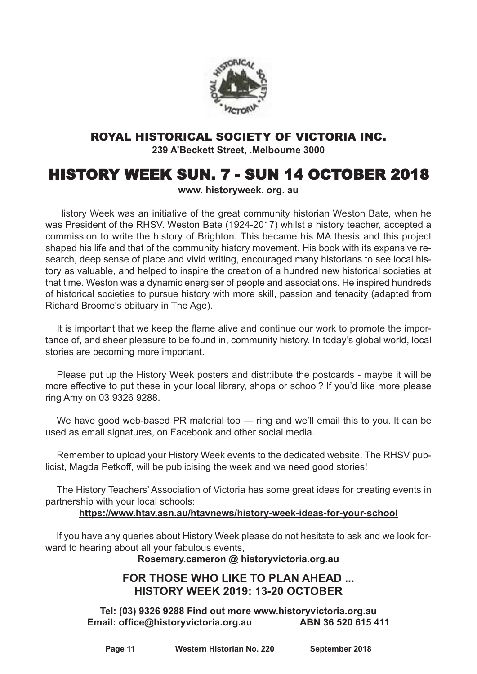

#### ROYAL HISTORICAL SOCIETY OF VICTORIA INC.

**239 A'Beckett Street, .Melbourne 3000**

### HISTORY WEEK SUN. 7 - SUN 14 OCTOBER 2018

**www. historyweek. org. au**

History Week was an initiative of the great community historian Weston Bate, when he was President of the RHSV. Weston Bate (1924-2017) whilst a history teacher, accepted a commission to write the history of Brighton. This became his MA thesis and this project shaped his life and that of the community history movement. His book with its expansive research, deep sense of place and vivid writing, encouraged many historians to see local history as valuable, and helped to inspire the creation of a hundred new historical societies at that time. Weston was a dynamic energiser of people and associations. He inspired hundreds of historical societies to pursue history with more skill, passion and tenacity (adapted from Richard Broome's obituary in The Age).

It is important that we keep the flame alive and continue our work to promote the importance of, and sheer pleasure to be found in, community history. In today's global world, local stories are becoming more important.

Please put up the History Week posters and distr:ibute the postcards - maybe it will be more effective to put these in your local library, shops or school? lf you'd like more please ring Amy on 03 9326 9288.

We have good web-based PR material too — ring and we'll email this to you. It can be used as email signatures, on Facebook and other social media.

Remember to upload your History Week events to the dedicated website. The RHSV publicist, Magda Petkoff, will be publicising the week and we need good stories!

The History Teachers' Association of Victoria has some great ideas for creating events in partnership with your local schools:

#### **https://www.htav.asn.au/htavnews/history-week-ideas-for-your-school**

lf you have any queries about History Week please do not hesitate to ask and we look forward to hearing about all your fabulous events,

**Rosemary.cameron @ historyvictoria.org.au**

#### **FOR THOSE WHO LIKE TO PLAN AHEAD ... HISTORY WEEK 2019: 13-20 OCTOBER**

**Tel: (03) 9326 9288 Find out more www.historyvictoria.org.au Email: office@historyvictoria.org.au ABN 36 520 615 411**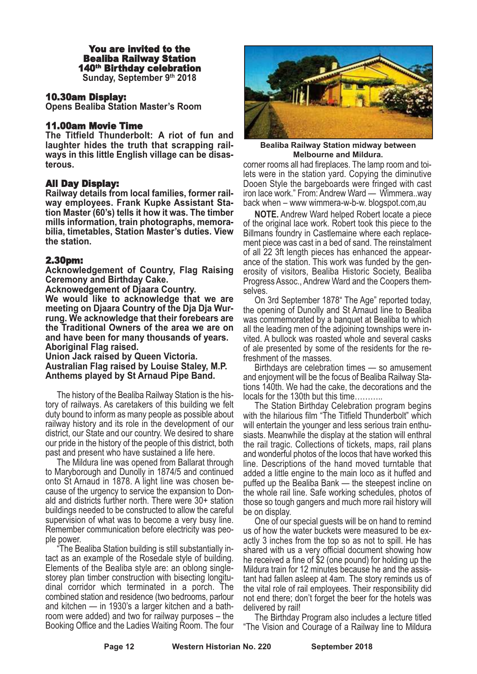#### You are invited to the Bealiba Railway Station 140th Birthday celebration **Sunday, September 9th 2018**

#### 10.30am Display:

**Opens Bealiba Station Master's Room**

#### 11.00am Movie Time

**The Titfield Thunderbolt: A riot of fun and laughter hides the truth that scrapping railways in this little English village can be disasterous.**

#### All Day Display:

**Railway details from local families, former railway employees. Frank Kupke Assistant Station Master (60's) tells it how it was. The timber mills information, train photographs, memorabilia, timetables, Station Master's duties. View the station.**

#### 2.30pm:

**Acknowledgement of Country, Flag Raising Ceremony and Birthday Cake.**

**Acknowedgement of Djaara Country.**

**We would like to acknowledge that we are meeting on Djaara Country of the Dja Dja Wurrung. We acknowledge that their forebears are the Traditional Owners of the area we are on and have been for many thousands of years. Aboriginal Flag raised.**

**Union Jack raised by Queen Victoria. Australian Flag raised by Louise Staley, M.P. Anthems played by St Arnaud Pipe Band.**

The history of the Bealiba Railway Station is the history of railways. As caretakers of this building we felt duty bound to inform as many people as possible about railway history and its role in the development of our district, our State and our country. We desired to share our pride in the history of the people of this district, both past and present who have sustained a life here.

The Mildura line was opened from Ballarat through to Maryborough and Dunolly in 1874/5 and continued onto St Arnaud in 1878. A light line was chosen because of the urgency to service the expansion to Donald and districts further north. There were 30+ station buildings needed to be constructed to allow the careful supervision of what was to become a very busy line. Remember communication before electricity was peo-

ple power.<br>
"The Bealiba Station building is still substantially intact as an example of the Rosedale style of building.<br>
Elements of the Bealiba style are: an oblong single-<br>
storey plan timber construction with bisecting combined station and residence (two bedrooms, parlour and kitchen — in 1930's a larger kitchen and a bathroom were added) and two for railway purposes – the Booking Office and the Ladies Waiting Room. The four



**Bealiba Railway Station midway between Melbourne and Mildura.**

corner rooms all had fireplaces. The lamp room and toi- lets were in the station yard. Copying the diminutive Dooen Style the bargeboards were fringed with cast iron lace work." From: Andrew Ward — Wimmera..way back when – www wimmera-w-b-w. blogspot.com,au

**NOTE.** Andrew Ward helped Robert locate a piece of the original lace work. Robert took this piece to the Billmans foundry in Castlemaine where each replacement piece was cast in a bed of sand. The reinstalment of all 22 3ft length pieces has enhanced the appearance of the station. This work was funded by the generosity of visitors, Bealiba Historic Society, Bealiba Progress Assoc., Andrew Ward and the Coopers themselves.

On 3rd September 1878" The Age" reported today, the opening of Dunolly and St Arnaud line to Bealiba was commemorated by a banquet at Bealiba to which all the leading men of the adjoining townships were invited. A bullock was roasted whole and several casks of ale presented by some of the residents for the refreshment of the masses.

Birthdays are celebration times — so amusement and enjoyment will be the focus of Bealiba Railway Stations 140th. We had the cake, the decorations and the locals for the 130th but this time………..

The Station Birthday Celebration program begins with the hilarious film "The Titfield Thunderbolt" which will entertain the younger and less serious train enthusiasts. Meanwhile the display at the station will enthral the rail tragic. Collections of tickets, maps, rail plans and wonderful photos of the locos that have worked this line. Descriptions of the hand moved turntable that added a little engine to the main loco as it huffed and puffed up the Bealiba Bank — the steepest incline on the whole rail line. Safe working schedules, photos of those so tough gangers and much more rail history will be on display.

One of our special guests will be on hand to remind us of how the water buckets were measured to be ex- actly <sup>3</sup> inches from the top so as not to spill. He has shared with us a very official document showing how he received a fine of \$2 (one pound) for holding up the Mildura train for 12 minutes because he and the assistant had fallen asleep at 4am. The story reminds us of the vital role of rail employees. Their responsibility did not end there; don't forget the beer for the hotels was delivered by rail!

The Birthday Program also includes a lecture titled "The Vision and Courage of a Railway line to Mildura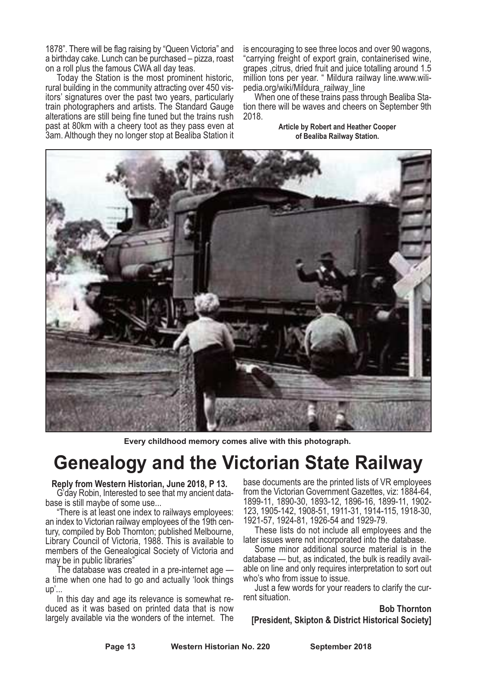1878". There will be flag raising by "Queen Victoria" and a birthday cake. Lunch can be purchased – pizza, roast on a roll plus the famous CWA all day teas.

Today the Station is the most prominent historic, rural building in the community attracting over 450 visitors' signatures over the past two years, particularly train photographers and artists. The Standard Gauge alterations are still being fine tuned but the trains rush past at 80km with a cheery toot as they pass even at 3am. Although they no longer stop at Bealiba Station it is encouraging to see three locos and over 90 wagons, "carrying freight of export grain, containerised wine, grapes ,citrus, dried fruit and juice totalling around 1.5 million tons per year. " Mildura railway line.www.wilipedia.org/wiki/Mildura\_railway\_line

When one of these trains pass through Bealiba Station there will be waves and cheers on September 9th 2018.

> **Article by Robert and Heather Cooper of Bealiba Railway Station.**



**Every childhood memory comes alive with this photograph.**

### **Genealogy and the Victorian State Railway**

### **Reply from Western Historian, June 2018, <sup>P</sup> 13.** G'day Robin, Interested to see that my ancient data-

base is still maybe of some use...

"There is at least one index to railways employees: tury, compiled by Bob Thornton; published Melbourne, Library Council of Victoria, 1988. This is available to members of the Genealogical Society of Victoria and may be in public libraries"

The database was created in a pre-internet age  $$ a time when one had to go and actually 'look things

up'...<br>In this day and age its relevance is somewhat reduced as it was based on printed data that is now largely available via the wonders of the internet. The

base documents are the printed lists of VR employees from the Victorian Government Gazettes, viz: 1884-64,<br>1899-11, 1890-30, 1893-12, 1896-16, 1899-11, 1902-<br>123, 1905-142, 1908-51, 1911-31, 1914-115, 1918-30,<br>1921-57, 1924-81, 1926-54 and 1929-79.<br>These lists do not include

later issues were not incorporated into the database. Some minor additional source material is in the

database — but, as indicated, the bulk is readily avail- able on line and only requires interpretation to sort out

who's who from issue to issue.<br>Just a few words for your readers to clarify the cur-<br>rent situation.

**Bob Thornton [President, Skipton & District Historical Society]**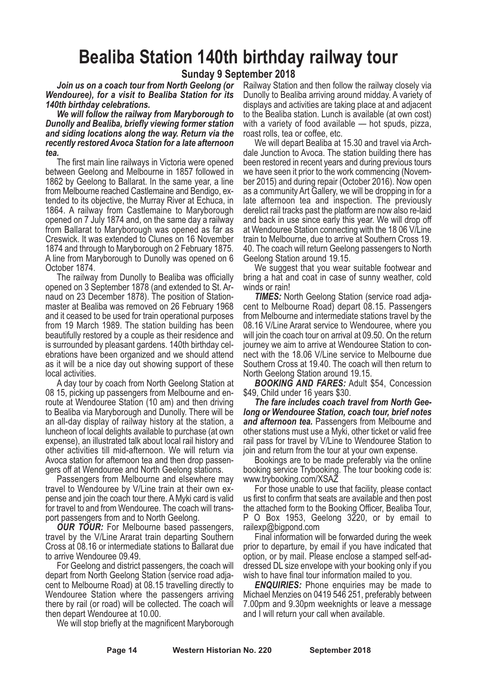### **Bealiba Station 140th birthday railway tour**

#### **Sunday 9 September 2018**

*Join us on a coach tour from North Geelong (or Wendouree), for a visit to Bealiba Station for its 140th birthday celebrations.*

*We will follow the railway from Maryborough to Dunolly and Bealiba, briefly viewing former station and siding locations along the way. Return via the recently restored Avoca Station for a late afternoon tea.*

The first main line railways in Victoria were opened between Geelong and Melbourne in 1857 followed in 1862 by Geelong to Ballarat. In the same year, a line from Melbourne reached Castlemaine and Bendigo, extended to its objective, the Murray River at Echuca, in 1864. A railway from Castlemaine to Maryborough opened on 7 July 1874 and, on the same day a railway from Ballarat to Maryborough was opened as far as Creswick. It was extended to Clunes on 16 November 1874 and through to Maryborough on 2 February 1875. A line from Maryborough to Dunolly was opened on 6 October 1874.

The railway from Dunolly to Bealiba was officially opened on 3 September 1878 (and extended to St. Arnaud on 23 December 1878). The position of Stationmaster at Bealiba was removed on 26 February 1968 and it ceased to be used for train operational purposes from 19 March 1989. The station building has been beautifully restored by a couple as their residence and is surrounded by pleasant gardens. 140th birthday celebrations have been organized and we should attend as it will be a nice day out showing support of these

local activities. <sup>A</sup> day tour by coach from North Geelong Station at <sup>08</sup> 15, picking up passengers from Melbourne and en- route at Wendouree Station (10 am) and then driving to Bealiba via Maryborough and Dunolly. There will be an all-day display of railway history at the station, a luncheon of local delights available to purchase (at own expense), an illustrated talk about local rail history and other activities till mid-afternoon. We will return via Avoca station for afternoon tea and then drop passen- gers off at Wendouree and North Geelong stations. Passengers from Melbourne and elsewhere may

travel to Wendouree by V/Line train at their own ex- pense and join the coach tour there. AMyki card is valid for travel to and from Wendouree. The coach will trans- port passengers from and to North Geelong.

*OUR TOUR:* For Melbourne based passengers, travel by the V/Line Ararat train departing Southern Cross at 08.16 or intermediate stations to Ballarat due to arrive Wendouree 09.49.

For Geelong and district passengers, the coach will depart from North Geelong Station (service road adjacent to Melbourne Road) at 08.15 travelling directly to Wendouree Station where the passengers arriving there by rail (or road) will be collected. The coach will

then depart Wendouree at 10.00. We will stop briefly at the magnificent Maryborough

Railway Station and then follow the railway closely via Dunolly to Bealiba arriving around midday. A variety of displays and activities are taking place at and adjacent to the Bealiba station. Lunch is available (at own cost) with a variety of food available — hot spuds, pizza, roast rolls, tea or coffee, etc.

We will depart Bealiba at 15.30 and travel via Archdale Junction to Avoca. The station building there has been restored in recent years and during previous tours we have seen it prior to the work commencing (November 2015) and during repair (October 2016). Now open as a community Art Gallery, we will be dropping in for a late afternoon tea and inspection. The previously derelict rail tracks past the platform are now also re-laid and back in use since early this year. We will drop off at Wendouree Station connecting with the 18 06 V/Line train to Melbourne, due to arrive at Southern Cross 19. 40. The coach will return Geelong passengers to North Geelong Station around 19.15.

We suggest that you wear suitable footwear and bring a hat and coat in case of sunny weather, cold winds or rain!

**TIMES:** North Geelong Station (service road adjacent to Melbourne Road) depart 08.15. Passengers from Melbourne and intermediate stations travel by the 08.16 V/Line Ararat service to Wendouree, where you will join the coach tour on arrival at 09.50. On the return journey we aim to arrive at Wendouree Station to connect with the 18.06 V/Line service to Melbourne due Southern Cross at 19.40. The coach will then return to

North Geelong Station around 19.15. *BOOKING AND FARES:* Adult \$54, Concession

\$49, Child under 16 years \$30.<br>The fare includes coach travel from North Gee-<br>Jong or Wendouree Station, coach tour, brief notes *and afternoon tea.* Passengers from Melbourne and other stations must use a Myki, other ticket or valid free rail pass for travel by V/Line to Wendouree Station to

join and return from the tour at your own expense. Bookings are to be made preferably via the online booking service Trybooking. The tour booking code is: www.trybooking.com/XSAZ

For those unable to use that facility, please contact us first to confirm that seats are available and then post the attached form to the Booking Officer, Bealiba Tour, <sup>P</sup> <sup>O</sup> Box 1953, Geelong 3220, or by email to railexp@bigpond.com

Final information will be forwarded during the week prior to departure, by email if you have indicated that option, or by mail. Please enclose a stamped self-addressed DL size envelope with your booking only if you wish to have final tour information mailed to you.

*ENQUIRIES:* Phone enquiries may be made to Michael Menzies on 0419 546 251, preferably between 7.00pm and 9.30pm weeknights or leave a message and I will return your call when available.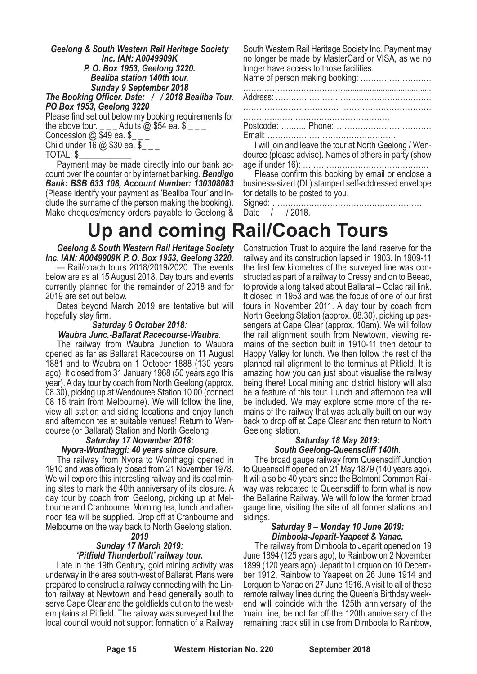*Geelong & South Western Rail Heritage Society Inc. IAN: A0049909K P. O. Box 1953, Geelong 3220. Bealiba station 140th tour. Sunday <sup>9</sup> September <sup>2018</sup>*

*The Booking Officer. Date: / / <sup>2018</sup> Bealiba Tour. PO Box 1953, Geelong <sup>3220</sup>*

Please find set out below my booking requirements for the above tour. \_ \_ \_ Adults @ \$54 ea. \$ \_ \_ \_ Concession @ \$49 ea. \$\_ \_ \_ Child under <sup>16</sup> @ \$30 ea. \$\_ \_ \_ TOTAL: \$\_\_\_\_\_\_\_\_\_\_\_\_ Payment may be made directly into our bank ac-

count over the counter or by internet banking. *Bendigo Bank: BSB 633 108, Account Number: 130308083* (Please identify your payment as 'Bealiba Tour' and include the surname of the person making the booking). Make cheques/money orders payable to Geelong &

South Western Rail Heritage Society Inc. Payment may no longer be made by MasterCard or VISA, as we no longer have access to those facilities.

Name of person making booking: ……………………… ………………………………….......................................

Address: ……………………………………………………

……………………………… ……………………………

………….……………………………………. Postcode: …..….. Phone: ……………………………… Email: ………………………………………….

I will join and leave the tour at North Geelong / Wendouree (please advise). Names of others in party (show age if under 16): …………………………………………

Please confirm this booking by email or enclose a business-sized (DL) stamped self-addressed envelope for details to be posted to you.

Signed: ………………………………………………… Date / / 2018.

### **Up and coming Rail/Coach Tours**

*Geelong & South Western Rail Heritage Society Inc. IAN: A0049909K P. O. Box 1953, Geelong 3220.*

— Rail/coach tours 2018/2019/2020. The events below are as at 15 August 2018. Day tours and events currently planned for the remainder of 2018 and for 2019 are set out below.

Dates beyond March 2019 are tentative but will hopefully stay firm.

#### *Saturday 6 October 2018: Waubra Junc.-Ballarat Racecourse-Waubra.*

The railway from Waubra Junction to Waubra opened as far as Ballarat Racecourse on 11 August 1881 and to Waubra on 1 October 1888 (130 years ago). It closed from 31 January 1968 (50 years ago this year). <sup>A</sup> day tour by coach from North Geelong (approx. 08.30), picking up at Wendouree Station <sup>10</sup> <sup>00</sup> (connect <sup>08</sup> <sup>16</sup> train from Melbourne). We will follow the line, view all station and siding locations and enjoy lunch and afternoon tea at suitable venues! Return to Wen- douree (or Ballarat) Station and North Geelong. *Saturday <sup>17</sup> November 2018:*

### *Nyora-Wonthaggi: 40 years since closure.*

The railway from Nyora to Wonthaggi opened in 1910 and was officially closed from 21 November 1978. We will explore this interesting railway and its coal mining sites to mark the 40th anniversary of its closure. A day tour by coach from Geelong, picking up at Melbourne and Cranbourne. Morning tea, lunch and afternoon tea will be supplied. Drop off at Cranbourne and Melbourne on the way back to North Geelong station.

*2019*

#### *Sunday 17 March 2019: 'Pitfield Thunderbolt' railway tour.*

Late in the 19th Century, gold mining activity was underway in the area south-west of Ballarat. Plans were prepared to construct a railway connecting with the Linton railway at Newtown and head generally south to serve Cape Clear and the goldfields out on to the western plains at Pitfield. The railway was surveyed but the local council would not support formation of a Railway Construction Trust to acquire the land reserve for the railway and its construction lapsed in 1903. In 1909-11 the first few kilometres of the surveyed line was constructed as part of a railway to Cressy and on to Beeac, to provide a long talked about Ballarat – Colac rail link.<br>It closed in 1953 and was the focus of one of our fir tours in November 2011. A day tour by coach from North Geelong Station (approx. 08.30), picking up pas- sengers at Cape Clear (approx. 10am). We will follow the rail alignment south from Newtown, viewing re- mains of the section built in 1910-11 then detour to Happy Valley for lunch. We then follow the rest of the planned rail alignment to the terminus at Pitfield. It is amazing how you can just about visualise the railway being there! Local mining and district history will also be a feature of this tour. Lunch and afternoon tea will be included. We may explore some more of the re- mains of the railway that was actually built on our way back to drop off at Cape Clear and then return to North Geelong station.

#### *Saturday 18 May 2019: South Geelong-Queenscliff 140th.*

The broad gauge railway from Queenscliff Junction to Queenscliff opened on <sup>21</sup> May <sup>1879</sup> (140 years ago). It will also be <sup>40</sup> years since the Belmont Common Rail- way was relocated to Queenscliff to form what is now the Bellarine Railway. We will follow the former broad gauge line, visiting the site of all former stations and sidings.

#### *Saturday 8 – Monday 10 June 2019: Dimboola-Jeparit-Yaapeet & Yanac.*

The railway from Dimboola to Jeparit opened on 19 June 1894 (125 years ago), to Rainbow on 2 November 1899 (120 years ago), Jeparit to Lorquon on 10 December 1912, Rainbow to Yaapeet on 26 June 1914 and Lorquon to Yanac on 27 June 1916. A visit to all of these remote railway lines during the Queen's Birthday week- end will coincide with the 125th anniversary of the 'main' line, be not far off the 120th anniversary of the remaining track still in use from Dimboola to Rainbow,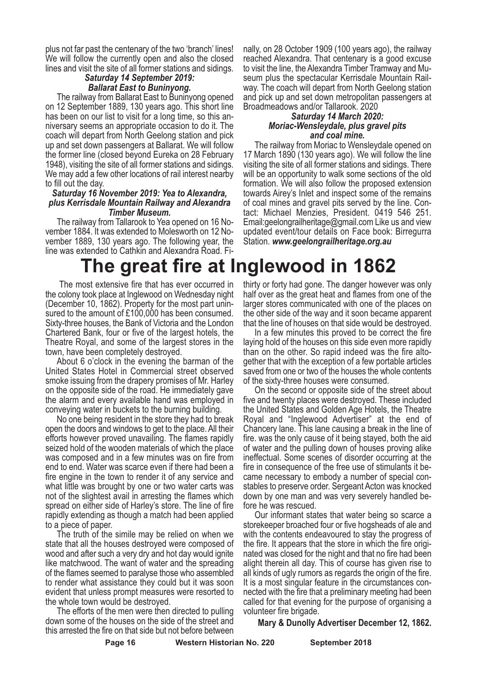plus not far past the centenary of the two 'branch' lines! We will follow the currently open and also the closed lines and visit the site of all former stations and sidings. *Saturday <sup>14</sup> September 2019:*

### *Ballarat East to Buninyong.*

The railway from Ballarat East to Buninyong opened on 12 September 1889, 130 years ago. This short line has been on our list to visit for <sup>a</sup> long time, so this an- niversary seems an appropriate occasion to do it. The coach will depart from North Geelong station and pick up and set down passengers at Ballarat. We will follow the former line (closed beyond Eureka on 28 February 1948), visiting the site of all former stations and sidings. We may add a few other locations of rail interest nearby to fill out the day.

#### *Saturday 16 November 2019: Yea to Alexandra, plus Kerrisdale Mountain Railway and Alexandra Timber Museum.*

The railway from Tallarook to Yea opened on 16 November 1884. It was extended to Molesworth on 12 November 1889, 130 years ago. The following year, the line was extended to Cathkin and Alexandra Road. Fi-

nally, on 28 October 1909 (100 years ago), the railway reached Alexandra. That centenary is a good excuse to visit the line, the Alexandra Timber Tramway and Museum plus the spectacular Kerrisdale Mountain Railway. The coach will depart from North Geelong station and pick up and set down metropolitan passengers at Broadmeadows and/or Tallarook. 2020

#### *Saturday 14 March 2020: Moriac-Wensleydale, plus gravel pits and coal mine.*

The railway from Moriac to Wensleydale opened on 17 March 1890 (130 years ago). We will follow the line visiting the site of all former stations and sidings. There will be an opportunity to walk some sections of the old formation. We will also follow the proposed extension towards Airey's Inlet and inspect some of the remains of coal mines and gravel pits served by the line. Contact: Michael Menzies, President. 0419 546 251. Email:geelongrailheritage@gmail.com Like us and view updated event/tour details on Face book: Birregurra Station. *www.geelongrailheritage.org.au*

### **The great fire at Inglewood in 1862**

The most extensive fire that has ever occurred in the colony took place at Inglewood on Wednesday night (December 10, 1862). Property for the most part unin- sured to the amount of £100,000 has been consumed. Sixty-three houses, the Bank of Victoria and the London Chartered Bank, four or five of the largest hotels, the Theatre Royal, and some of the largest stores in the

town, have been completely destroyed. About <sup>6</sup> o'clock in the evening the barman of the United States Hotel in Commercial street observed smoke issuing from the drapery promises of Mr. Harley on the opposite side of the road. He immediately gave the alarm and every available hand was employed in

conveying water in buckets to the burning building. No one being resident in the store they had to break open the doors and windows to get to the place. All their efforts however proved unavailing. The flames rapidly seized hold of the wooden materials of which the place was composed and in a few minutes was on fire from end to end. Water was scarce even if there had been a fire engine in the town to render it of any service and what little was brought by one or two water carts was not of the slightest avail in arresting the flames which spread on either side of Harley's store. The line of fire rapidly extending as though a match had been applied

to <sup>a</sup> piece of paper. The truth of the simile may be relied on when we state that all the houses destroyed were composed of wood and after such a very dry and hot day would ignite like matchwood. The want of water and the spreading of the flames seemed to paralyse those who assembled to render what assistance they could but it was soon evident that unless prompt measures were resorted to

the whole town would be destroyed. The efforts of the men were then directed to pulling down some of the houses on the side of the street and this arrested the fire on that side but not before between

thirty or forty had gone. The danger however was only half over as the great heat and flames from one of the larger stores communicated with one of the places on the other side of the way and it soon became apparent

that the line of houses on that side would be destroyed. In <sup>a</sup> few minutes this proved to be correct the fire laying hold of the houses on this side even more rapidly than on the other. So rapid indeed was the fire alto- gether that with the exception of <sup>a</sup> few portable articles saved from one or two of the houses the whole contents of the sixty-three houses were consumed. On the second or opposite side of the street about

five and twenty places were destroyed. These included the United States and Golden Age Hotels, the Theatre Royal and "Inglewood Advertiser" at the end of Chancery lane. This lane causing a break in the line of fire. was the only cause of it being stayed, both the aid of water and the pulling down of houses proving alike ineffectual. Some scenes of disorder occurring at the fire in consequence of the free use of stimulants it be- came necessary to embody <sup>a</sup> number of special con- stables to preserve order. Sergeant Acton was knocked down by one man and was very severely handled be-<br>fore he was rescued.<br>Our informant states that water being so scarce a

storekeeper broached four or five hogsheads of ale and with the contents endeavoured to stay the progress of the fire. It appears that the store in which the fire originated was closed for the night and that no fire had been alight therein all day. This of course has given rise to all kinds of ugly rumors as regards the origin of the fire. It is a most singular feature in the circumstances connected with the fire that a preliminary meeting had been called for that evening for the purpose of organising a volunteer fire brigade.

**Mary & Dunolly Advertiser December 12, 1862.**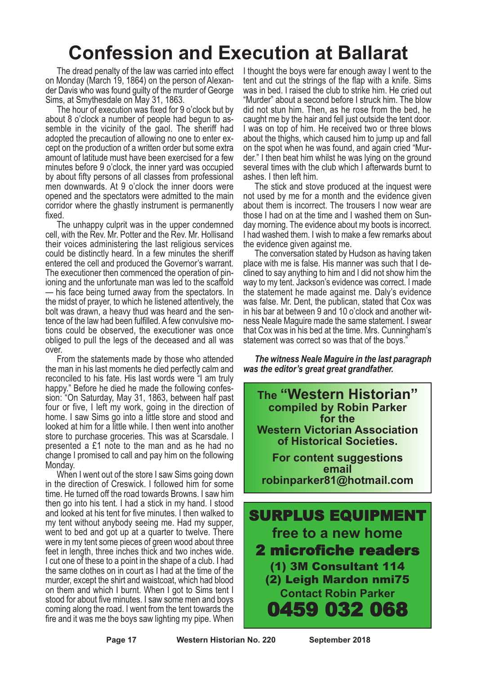### **Confession and Execution at Ballarat**

The dread penalty of the law was carried into effect on Monday (March 19, 1864) on the person of Alexander Davis who was found guilty of the murder of George Sims, at Smythesdale on May 31, 1863.

The hour of execution was fixed for 9 o'clock but by about 8 o'clock a number of people had begun to assemble in the vicinity of the gaol. The sheriff had adopted the precaution of allowing no one to enter except on the production of a written order but some extra amount of latitude must have been exercised for a few minutes before 9 o'clock, the inner yard was occupied by about fifty persons of all classes from professional men downwards. At 9 o'clock the inner doors were opened and the spectators were admitted to the main corridor where the ghastly instrument is permanently fixed.

The unhappy culprit was in the upper condemned cell, with the Rev. Mr. Potter and the Rev. Mr. Hollisand their voices administering the last religious services could be distinctly heard. In a few minutes the sheriff entered the cell and produced the Governor's warrant. The executioner then commenced the operation of pinioning and the unfortunate man was led to the scaffold — his face being turned away from the spectators. In the midst of prayer, to which he listened attentively, the bolt was drawn, a heavy thud was heard and the sentence of the law had been fulfilled. A few convulsive motions could be observed, the executioner was once obliged to pull the legs of the deceased and all was over.

From the statements made by those who attended the man in his last moments he died perfectly calm and reconciled to his fate. His last words were "I am truly happy." Before he died he made the following confession: "On Saturday, May 31, 1863, between half past four or five, I left my work, going in the direction of home. I saw Sims go into a little store and stood and looked at him for a little while. I then went into another store to purchase groceries. This was at Scarsdale. I presented a £1 note to the man and as he had no change I promised to call and pay him on the following Monday.

When I went out of the store I saw Sims going down in the direction of Creswick. I followed him for some time. He turned off the road towards Browns. I saw him then go into his tent. I had a stick in my hand. I stood and looked at his tent for five minutes. I then walked to my tent without anybody seeing me. Had my supper, went to bed and got up at a quarter to twelve. There were in my tent some pieces of green wood about three feet in length, three inches thick and two inches wide. I cut one of these to a point in the shape of a club. I had the same clothes on in court as I had at the time of the murder, except the shirt and waistcoat, which had blood on them and which I burnt. When I got to Sims tent I stood for about five minutes. I saw some men and boys coming along the road. I went from the tent towards the fire and it was me the boys saw lighting my pipe. When

I thought the boys were far enough away I went to the tent and cut the strings of the flap with a knife. Sims was in bed. I raised the club to strike him. He cried out "Murder" about a second before I struck him. The blow did not stun him. Then, as he rose from the bed, he caught me by the hair and fell just outside the tent door. I was on top of him. He received two or three blows about the thighs, which caused him to jump up and fall on the spot when he was found, and again cried "Murder." I then beat him whilst he was lying on the ground several times with the club which I afterwards burnt to ashes. I then left him.

The stick and stove produced at the inquest were not used by me for a month and the evidence given about them is incorrect. The trousers I now wear are those I had on at the time and I washed them on Sunday morning. The evidence about my boots is incorrect. I had washed them. I wish to make a few remarks about the evidence given against me.

The conversation stated by Hudson as having taken place with me is false. His manner was such that I declined to say anything to him and I did not show him the way to my tent. Jackson's evidence was correct. I made the statement he made against me. Daly's evidence was false. Mr. Dent, the publican, stated that Cox was in his bar at between 9 and 10 o'clock and another witness Neale Maguire made the same statement. I swear that Cox was in his bed at the time. Mrs. Cunningham's statement was correct so was that of the boys.'

*The witness Neale Maguire in the last paragraph was the editor's great great grandfather.*

**The "Western Historian" compiled by Robin Parker for the Western Victorian Association of Historical Societies.**

**For content suggestions email robinparker81@hotmail.com**

SURPLUS EQUIPMENT **free to a new home** 2 microfiche readers (1) 3M Consultant 114 (2) Leigh Mardon nmi75 **Contact Robin Parker** 0459 032 068